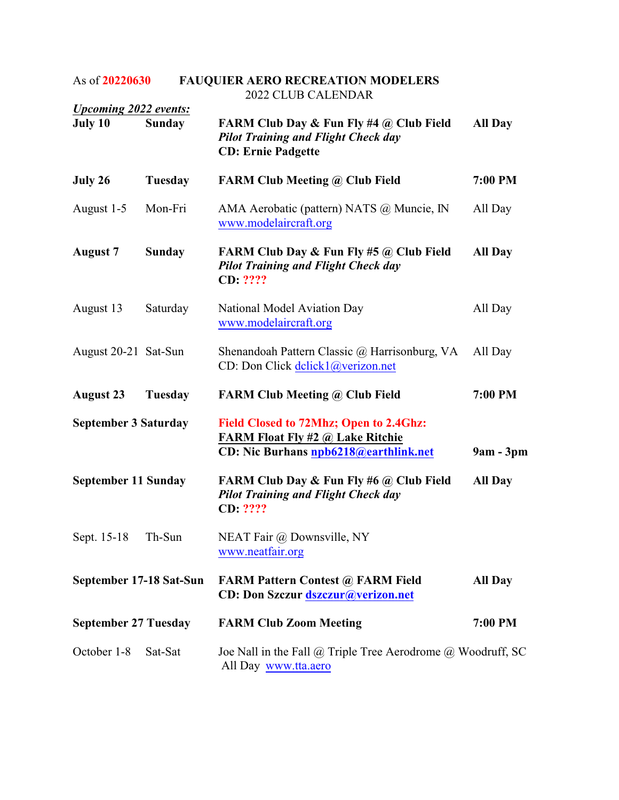## As of **20220630 FAUQUIER AERO RECREATION MODELERS** 2022 CLUB CALENDAR

| <b>Upcoming 2022 events:</b> |                |                                                                                                                            |                |
|------------------------------|----------------|----------------------------------------------------------------------------------------------------------------------------|----------------|
| July 10                      | <b>Sunday</b>  | FARM Club Day & Fun Fly #4 @ Club Field<br><b>Pilot Training and Flight Check day</b><br><b>CD: Ernie Padgette</b>         | All Day        |
| July 26                      | Tuesday        | <b>FARM Club Meeting @ Club Field</b>                                                                                      | 7:00 PM        |
| August 1-5                   | Mon-Fri        | AMA Aerobatic (pattern) NATS @ Muncie, IN<br>www.modelaircraft.org                                                         | All Day        |
| <b>August 7</b>              | <b>Sunday</b>  | <b>FARM Club Day &amp; Fun Fly #5 @ Club Field</b><br><b>Pilot Training and Flight Check day</b><br>CD: ????               | <b>All Day</b> |
| August 13                    | Saturday       | National Model Aviation Day<br>www.modelaircraft.org                                                                       | All Day        |
| August 20-21 Sat-Sun         |                | Shenandoah Pattern Classic @ Harrisonburg, VA<br>CD: Don Click delick1@verizon.net                                         | All Day        |
| <b>August 23</b>             | <b>Tuesday</b> | <b>FARM Club Meeting @ Club Field</b>                                                                                      | 7:00 PM        |
| <b>September 3 Saturday</b>  |                | Field Closed to 72Mhz; Open to 2.4Ghz:<br><b>FARM Float Fly #2 @ Lake Ritchie</b><br>CD: Nic Burhans npb6218@earthlink.net | 9am - 3pm      |
| <b>September 11 Sunday</b>   |                | <b>FARM Club Day &amp; Fun Fly #6 @ Club Field</b><br><b>Pilot Training and Flight Check day</b><br>CD: ????               | All Day        |
| Sept. 15-18                  | Th-Sun         | NEAT Fair @ Downsville, NY<br>www.neatfair.org                                                                             |                |
| September 17-18 Sat-Sun      |                | <b>FARM Pattern Contest @ FARM Field</b><br><b>CD: Don Szczur dszczur@verizon.net</b>                                      | <b>All Day</b> |
| <b>September 27 Tuesday</b>  |                | <b>FARM Club Zoom Meeting</b>                                                                                              | 7:00 PM        |
| October 1-8                  | Sat-Sat        | Joe Nall in the Fall $@$ Triple Tree Aerodrome $@$ Woodruff, SC<br>All Day www.tta.aero                                    |                |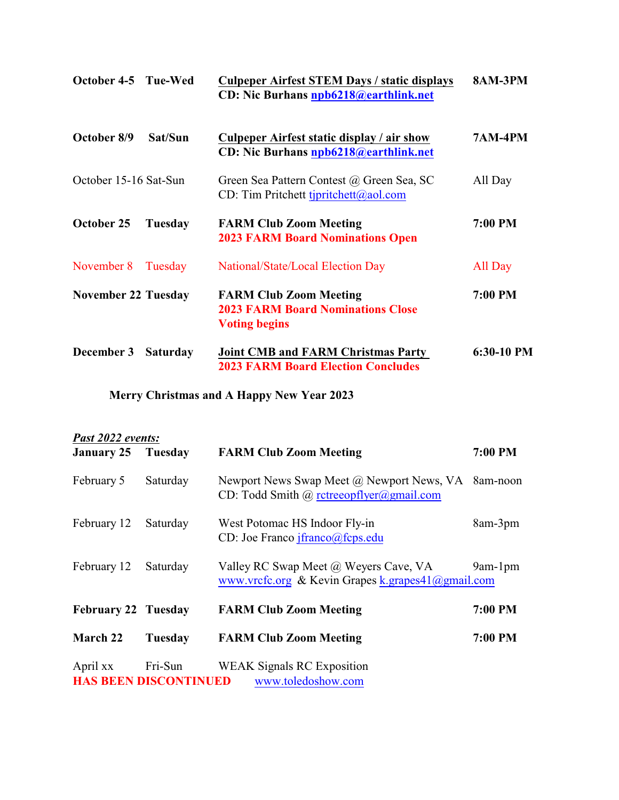| October 4-5 Tue-Wed        |                 | <b>Culpeper Airfest STEM Days / static displays</b><br>CD: Nic Burhans npb6218@earthlink.net      | <b>8AM-3PM</b> |
|----------------------------|-----------------|---------------------------------------------------------------------------------------------------|----------------|
| October 8/9                | Sat/Sun         | Culpeper Airfest static display / air show<br>CD: Nic Burhans npb6218@earthlink.net               | <b>7AM-4PM</b> |
| October 15-16 Sat-Sun      |                 | Green Sea Pattern Contest @ Green Sea, SC<br>CD: Tim Pritchett tjpritchett@aol.com                | All Day        |
| October 25                 | Tuesday         | <b>FARM Club Zoom Meeting</b><br><b>2023 FARM Board Nominations Open</b>                          | 7:00 PM        |
| November 8                 | Tuesday         | National/State/Local Election Day                                                                 | All Day        |
| <b>November 22 Tuesday</b> |                 | <b>FARM Club Zoom Meeting</b><br><b>2023 FARM Board Nominations Close</b><br><b>Voting begins</b> | 7:00 PM        |
| December 3                 | <b>Saturday</b> | <b>Joint CMB and FARM Christmas Party</b><br><b>2023 FARM Board Election Concludes</b>            | 6:30-10 PM     |

**Merry Christmas and A Happy New Year 2023**

| Past 2022 events:          |                                         |                                                                                                               |                |  |  |
|----------------------------|-----------------------------------------|---------------------------------------------------------------------------------------------------------------|----------------|--|--|
| <b>January 25 Tuesday</b>  |                                         | <b>FARM Club Zoom Meeting</b>                                                                                 | <b>7:00 PM</b> |  |  |
| February 5                 | Saturday                                | Newport News Swap Meet @ Newport News, VA 8am-noon<br>CD: Todd Smith @ rctreeopflyer@gmail.com                |                |  |  |
| February 12                | Saturday                                | West Potomac HS Indoor Fly-in<br>CD: Joe Franco $ifranco@feps.edu$                                            | 8am-3pm        |  |  |
| February 12                | Saturday                                | Valley RC Swap Meet @ Weyers Cave, VA<br>www.vrcfc.org & Kevin Grapes $k$ .grapes $41$ ( $\partial$ gmail.com | $9am-1pm$      |  |  |
| <b>February 22 Tuesday</b> |                                         | <b>FARM Club Zoom Meeting</b>                                                                                 | 7:00 PM        |  |  |
| March 22                   | Tuesday                                 | <b>FARM Club Zoom Meeting</b>                                                                                 | 7:00 PM        |  |  |
| April xx                   | Fri-Sun<br><b>HAS BEEN DISCONTINUED</b> | <b>WEAK Signals RC Exposition</b><br>www.toledoshow.com                                                       |                |  |  |